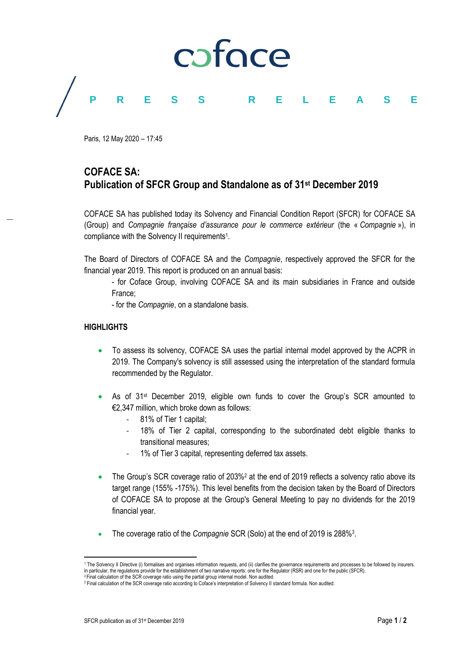

Paris, 12 May 2020 – 17:45

## **COFACE SA: Publication of SFCR Group and Standalone as of 31st December 2019**

COFACE SA has published today its Solvency and Financial Condition Report (SFCR) for COFACE SA (Group) and *Compagnie française d'assurance pour le commerce extérieur* (the « *Compagnie* »), in compliance with the Solvency II requirements<sup>1</sup>.

The Board of Directors of COFACE SA and the *Compagnie*, respectively approved the SFCR for the financial year 2019. This report is produced on an annual basis:

- for Coface Group, involving COFACE SA and its main subsidiaries in France and outside France;

- for the *Compagnie*, on a standalone basis.

## **HIGHLIGHTS**

- To assess its solvency, COFACE SA uses the partial internal model approved by the ACPR in 2019. The Company's solvency is still assessed using the interpretation of the standard formula recommended by the Regulator.
- As of 31<sup>st</sup> December 2019, eligible own funds to cover the Group's SCR amounted to €2,347 million, which broke down as follows:
	- 81% of Tier 1 capital;
	- 18% of Tier 2 capital, corresponding to the subordinated debt eligible thanks to transitional measures;
	- 1% of Tier 3 capital, representing deferred tax assets.
- The Group's SCR coverage ratio of 203%<sup>2</sup> at the end of 2019 reflects a solvency ratio above its target range (155% -175%). This level benefits from the decision taken by the Board of Directors of COFACE SA to propose at the Group's General Meeting to pay no dividends for the 2019 financial year.
- The coverage ratio of the *Compagnie* SCR (Solo) at the end of 2019 is 288%<sup>3</sup>.

 $\overline{\phantom{a}}$ 

<sup>1</sup> The Solvency II Directive (i) formalises and organises information requests, and (ii) clarifies the governance requirements and processes to be followed by insurers. In particular, the regulations provide for the establishment of two narrative reports: one for the Regulator (RSR) and one for the public (SFCR).

<sup>&</sup>lt;sup>2</sup> Final calculation of the SCR coverage ratio using the partial group internal model. Non audited. <sup>3</sup> Final calculation of the SCR coverage ratio according to Coface's interpretation of Solvency II standard formula. Non audited.